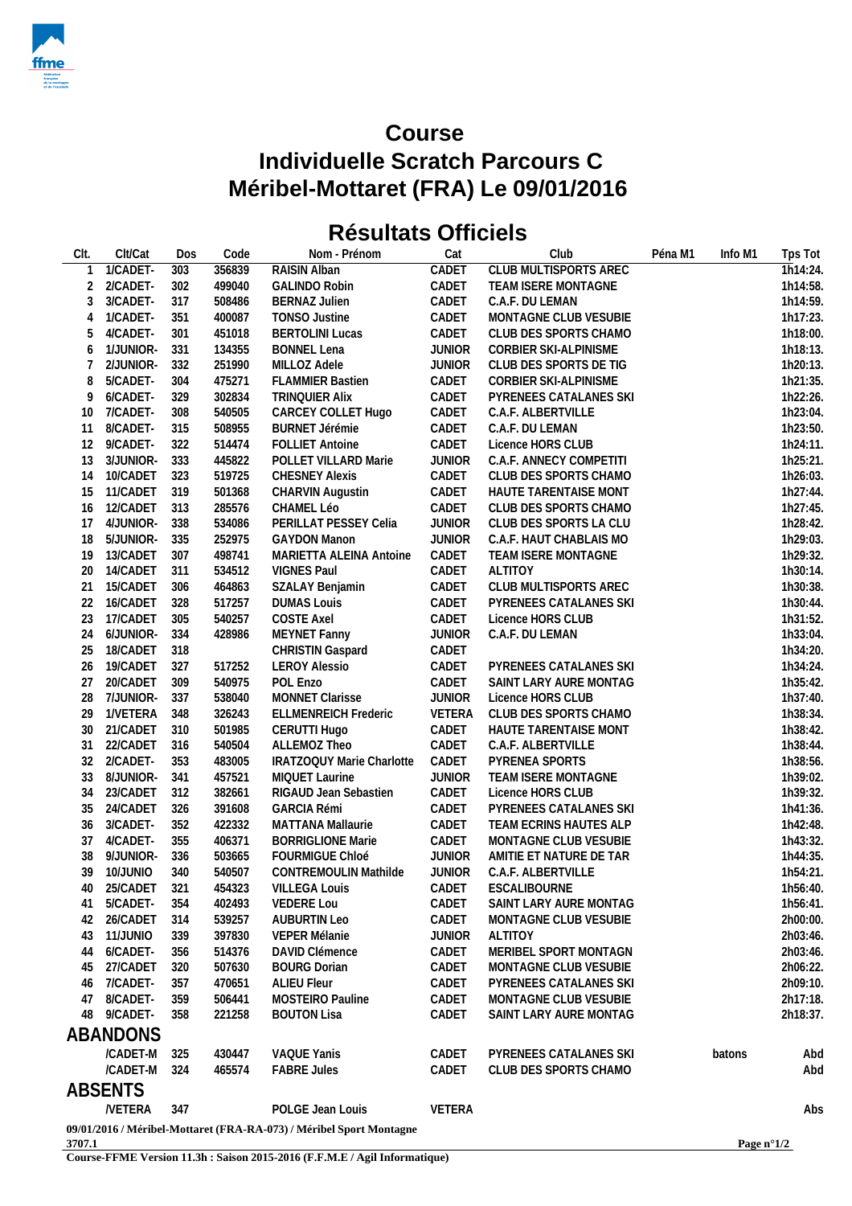

## **Course Individuelle Scratch Parcours C Méribel-Mottaret (FRA) Le 09/01/2016**

## **Résultats Officiels**

| CIt.           | Clt/Cat              | Dos | Code             | Nom - Prénom                                                        | Cat                    | Club                                    | Péna M1 | Info M1 | Tps Tot               |
|----------------|----------------------|-----|------------------|---------------------------------------------------------------------|------------------------|-----------------------------------------|---------|---------|-----------------------|
|                | 1/CADET-             | 303 | 356839           | <b>RAISIN Alban</b>                                                 | CADET                  | <b>CLUB MULTISPORTS AREC</b>            |         |         | $\overline{1h}14:24.$ |
| 2              | 2/CADET-             | 302 | 499040           | <b>GALINDO Robin</b>                                                | CADET                  | TEAM ISERE MONTAGNE                     |         |         | 1h14:58.              |
| 3              | 3/CADET-             | 317 | 508486           | <b>BERNAZ Julien</b>                                                | CADET                  | C.A.F. DU LEMAN                         |         |         | 1h14:59.              |
| $\overline{4}$ | 1/CADET-             | 351 | 400087           | <b>TONSO Justine</b>                                                | CADET                  | MONTAGNE CLUB VESUBIE                   |         |         | 1h17:23.              |
| 5              | 4/CADET-             | 301 | 451018           | <b>BERTOLINI Lucas</b>                                              | CADET                  | CLUB DES SPORTS CHAMO                   |         |         | 1h18:00.              |
| 6              | 1/JUNIOR-            | 331 | 134355           | <b>BONNEL Lena</b>                                                  | <b>JUNIOR</b>          | CORBIER SKI-ALPINISME                   |         |         | 1h18:13.              |
| 7              | 2/JUNIOR-            | 332 | 251990           | MILLOZ Adele                                                        | <b>JUNIOR</b>          | CLUB DES SPORTS DE TIG                  |         |         | 1h20:13.              |
| 8              | 5/CADET-             | 304 | 475271           | <b>FLAMMIER Bastien</b>                                             | CADET                  | CORBIER SKI-ALPINISME                   |         |         | 1h21:35.              |
| 9              | 6/CADET-             | 329 | 302834           | TRINQUIER Alix                                                      | CADET                  | PYRENEES CATALANES SKI                  |         |         | 1h22:26.              |
| 10             | 7/CADET-             | 308 | 540505           | CARCEY COLLET Hugo                                                  | CADET                  | C.A.F. ALBERTVILLE                      |         |         | 1h23:04.              |
| 11             | 8/CADET-             | 315 | 508955           | <b>BURNET Jérémie</b>                                               | CADET                  | C.A.F. DU LEMAN                         |         |         | 1h23:50.              |
| 12             | 9/CADET-             | 322 | 514474           | <b>FOLLIET Antoine</b>                                              | CADET                  | Licence HORS CLUB                       |         |         | 1h24:11.              |
| 13             | 3/JUNIOR-            | 333 | 445822           | POLLET VILLARD Marie                                                | <b>JUNIOR</b>          | C.A.F. ANNECY COMPETITI                 |         |         | 1h25:21.              |
| 14             | 10/CADET             | 323 | 519725           | <b>CHESNEY Alexis</b>                                               | CADET                  | CLUB DES SPORTS CHAMO                   |         |         | 1h26:03.              |
| 15             | 11/CADET             | 319 | 501368           | CHARVIN Augustin                                                    | CADET                  | HAUTE TARENTAISE MONT                   |         |         | 1h27:44.              |
| 16             | 12/CADET             | 313 | 285576           | CHAMEL Léo                                                          | CADET                  | CLUB DES SPORTS CHAMO                   |         |         | 1h27:45.              |
| 17             | 4/JUNIOR-            | 338 | 534086           | PERILLAT PESSEY Celia                                               | <b>JUNIOR</b>          | CLUB DES SPORTS LA CLU                  |         |         | 1h28:42.              |
| 18             | 5/JUNIOR-            | 335 | 252975           | <b>GAYDON Manon</b>                                                 | <b>JUNIOR</b>          | C.A.F. HAUT CHABLAIS MO                 |         |         | 1h29:03.              |
| 19             | 13/CADET             | 307 | 498741           | MARIETTA ALEINA Antoine                                             | CADET                  | TEAM ISERE MONTAGNE                     |         |         | 1h29:32.              |
| 20             | 14/CADET             | 311 | 534512           | <b>VIGNES Paul</b>                                                  | CADET                  | <b>ALTITOY</b>                          |         |         | 1h30:14.              |
| 21             | 15/CADET             | 306 | 464863           | SZALAY Benjamin                                                     | CADET                  | CLUB MULTISPORTS AREC                   |         |         | 1h30:38.              |
| 22             | 16/CADET             | 328 | 517257           | <b>DUMAS Louis</b>                                                  | CADET                  | PYRENEES CATALANES SKI                  |         |         | 1h30:44.              |
| 23             | 17/CADET             | 305 | 540257           | <b>COSTE Axel</b>                                                   | CADET                  | Licence HORS CLUB                       |         |         | 1h31:52.              |
| 24             | 6/JUNIOR-            | 334 | 428986           | MEYNET Fanny                                                        | <b>JUNIOR</b>          | C.A.F. DU LEMAN                         |         |         | 1h33:04.              |
| 25             | 18/CADET             | 318 |                  | CHRISTIN Gaspard                                                    | CADET                  |                                         |         |         | 1h34:20.              |
| 26             | 19/CADET             | 327 | 517252           | <b>LEROY Alessio</b>                                                | CADET                  | PYRENEES CATALANES SKI                  |         |         | 1h34:24.              |
| 27             | 20/CADET             | 309 | 540975           | POL Enzo                                                            | CADET                  | SAINT LARY AURE MONTAG                  |         |         | 1h35:42.              |
| 28             | 7/JUNIOR-            | 337 | 538040           | MONNET Clarisse                                                     | <b>JUNIOR</b>          | Licence HORS CLUB                       |         |         | 1h37:40.              |
| 29             | 1/VETERA             | 348 | 326243           | <b>ELLMENREICH Frederic</b>                                         | VETERA                 | CLUB DES SPORTS CHAMO                   |         |         | 1h38:34.              |
| 30             | 21/CADET             | 310 | 501985           | CERUTTI Hugo                                                        | CADET                  | HAUTE TARENTAISE MONT                   |         |         | 1h38:42.              |
| 31             | 22/CADET             | 316 | 540504           | ALLEMOZ Theo                                                        | CADET                  | C.A.F. ALBERTVILLE                      |         |         | 1h38:44.              |
| 32             | 2/CADET-             | 353 | 483005           | IRATZOQUY Marie Charlotte                                           | CADET                  | PYRENEA SPORTS                          |         |         | 1h38:56.              |
| 33             | 8/JUNIOR-            | 341 | 457521           | MIQUET Laurine                                                      | <b>JUNIOR</b>          | TEAM ISERE MONTAGNE                     |         |         | 1h39:02.              |
| 34             | 23/CADET             | 312 | 382661           | RIGAUD Jean Sebastien                                               | CADET                  | Licence HORS CLUB                       |         |         | 1h39:32.              |
| 35             | 24/CADET             | 326 | 391608           | <b>GARCIA Rémi</b>                                                  | CADET                  | PYRENEES CATALANES SKI                  |         |         | 1h41:36.              |
| 36             | 3/CADET-             | 352 | 422332           | MATTANA Mallaurie                                                   | CADET                  | TEAM ECRINS HAUTES ALP                  |         |         | 1h42:48.              |
| 37             | 4/CADET-             | 355 | 406371           | <b>BORRIGLIONE Marie</b>                                            | CADET                  | MONTAGNE CLUB VESUBIE                   |         |         | 1h43:32.              |
| 38             | 9/JUNIOR-            | 336 | 503665           | FOURMIGUE Chloé                                                     | <b>JUNIOR</b>          | AMITIE ET NATURE DE TAR                 |         |         | 1h44:35.              |
| 39             | 10/JUNIO             | 340 | 540507           | <b>CONTREMOULIN Mathilde</b>                                        | <b>JUNIOR</b>          | C.A.F. ALBERTVILLE                      |         |         | 1h54:21.              |
|                | 40 25/CADET          | 321 | 454323           | <b>VILLEGA Louis</b>                                                | CADET                  | <b>ESCALIBOURNE</b>                     |         |         | 1h56:40.              |
|                |                      |     |                  |                                                                     |                        |                                         |         |         |                       |
| 41             | 5/CADET-<br>26/CADET | 354 | 402493           | VEDERE Lou<br><b>AUBURTIN Leo</b>                                   | CADET                  | SAINT LARY AURE MONTAG                  |         |         | 1h56:41.<br>2h00:00.  |
| 42             | 11/JUNIO             | 314 | 539257<br>397830 | VEPER Mélanie                                                       | CADET<br><b>JUNIOR</b> | MONTAGNE CLUB VESUBIE<br><b>ALTITOY</b> |         |         | 2h03:46.              |
| 43             | 6/CADET-             | 339 |                  |                                                                     |                        | MERIBEL SPORT MONTAGN                   |         |         |                       |
| 44             |                      | 356 | 514376           | DAVID Clémence                                                      | CADET                  |                                         |         |         | 2h03:46.              |
| 45             | 27/CADET             | 320 | 507630           | <b>BOURG Dorian</b><br><b>ALIEU Fleur</b>                           | CADET                  | MONTAGNE CLUB VESUBIE                   |         |         | 2h06:22.              |
| 46             | 7/CADET-             | 357 | 470651           |                                                                     | CADET                  | PYRENEES CATALANES SKI                  |         |         | 2h09:10.              |
|                | 47 8/CADET-          | 359 | 506441           | MOSTEIRO Pauline                                                    | CADET                  | MONTAGNE CLUB VESUBIE                   |         |         | 2h17:18.              |
|                | 48 9/CADET-          | 358 | 221258           | <b>BOUTON Lisa</b>                                                  | CADET                  | SAINT LARY AURE MONTAG                  |         |         | 2h18:37.              |
|                | <b>ABANDONS</b>      |     |                  |                                                                     |                        |                                         |         |         |                       |
|                | /CADET-M             | 325 | 430447           | VAQUE Yanis                                                         | CADET                  | PYRENEES CATALANES SKI                  |         | batons  | Abd                   |
|                | /CADET-M             | 324 | 465574           | <b>FABRE Jules</b>                                                  | CADET                  | CLUB DES SPORTS CHAMO                   |         |         | Abd                   |
|                | ABSENTS              |     |                  |                                                                     |                        |                                         |         |         |                       |
|                |                      |     |                  |                                                                     |                        |                                         |         |         |                       |
|                | <b>NETERA</b>        | 347 |                  | POLGE Jean Louis                                                    | VETERA                 |                                         |         |         | Abs                   |
|                |                      |     |                  | 09/01/2016 / Méribel-Mottaret (FRA-RA-073) / Méribel Sport Montagne |                        |                                         |         |         |                       |

**3707.1**